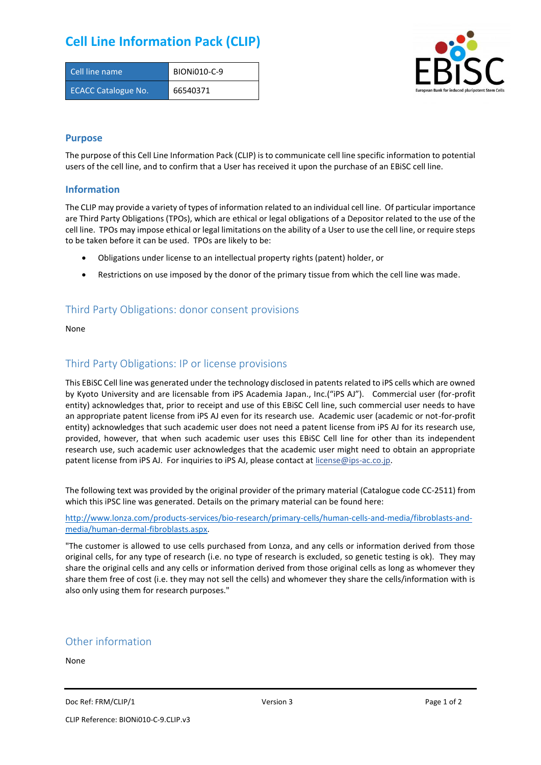## **Cell Line Information Pack (CLIP)**

| Cell line name             | BION <sub>i</sub> 010-C-9 |
|----------------------------|---------------------------|
| <b>ECACC Catalogue No.</b> | 66540371                  |



#### **Purpose**

The purpose of this Cell Line Information Pack (CLIP) is to communicate cell line specific information to potential users of the cell line, and to confirm that a User has received it upon the purchase of an EBiSC cell line.

#### **Information**

The CLIP may provide a variety of types of information related to an individual cell line. Of particular importance are Third Party Obligations (TPOs), which are ethical or legal obligations of a Depositor related to the use of the cell line. TPOs may impose ethical or legal limitations on the ability of a User to use the cell line, or require steps to be taken before it can be used. TPOs are likely to be:

- Obligations under license to an intellectual property rights (patent) holder, or
- Restrictions on use imposed by the donor of the primary tissue from which the cell line was made.

### Third Party Obligations: donor consent provisions

None

#### Third Party Obligations: IP or license provisions

This EBiSC Cell line was generated under the technology disclosed in patents related to iPS cells which are owned by Kyoto University and are licensable from iPS Academia Japan., Inc.("iPS AJ"). Commercial user (for-profit entity) acknowledges that, prior to receipt and use of this EBiSC Cell line, such commercial user needs to have an appropriate patent license from iPS AJ even for its research use. Academic user (academic or not-for-profit entity) acknowledges that such academic user does not need a patent license from iPS AJ for its research use, provided, however, that when such academic user uses this EBiSC Cell line for other than its independent research use, such academic user acknowledges that the academic user might need to obtain an appropriate patent license from iPS AJ. For inquiries to iPS AJ, please contact at [license@ips-ac.co.jp.](mailto:license@ips-ac.co.jp)

The following text was provided by the original provider of the primary material (Catalogue code CC-2511) from which this iPSC line was generated. Details on the primary material can be found here:

[http://www.lonza.com/products-services/bio-research/primary-cells/human-cells-and-media/fibroblasts-and](http://www.lonza.com/products-services/bio-research/primary-cells/human-cells-and-media/fibroblasts-and-media/human-dermal-fibroblasts.aspx)[media/human-dermal-fibroblasts.aspx.](http://www.lonza.com/products-services/bio-research/primary-cells/human-cells-and-media/fibroblasts-and-media/human-dermal-fibroblasts.aspx) 

"The customer is allowed to use cells purchased from Lonza, and any cells or information derived from those original cells, for any type of research (i.e. no type of research is excluded, so genetic testing is ok). They may share the original cells and any cells or information derived from those original cells as long as whomever they share them free of cost (i.e. they may not sell the cells) and whomever they share the cells/information with is also only using them for research purposes."

#### Other information

None

Doc Ref: FRM/CLIP/1 **Docessity** Version 3 **Page 1 of 2** Page 1 of 2